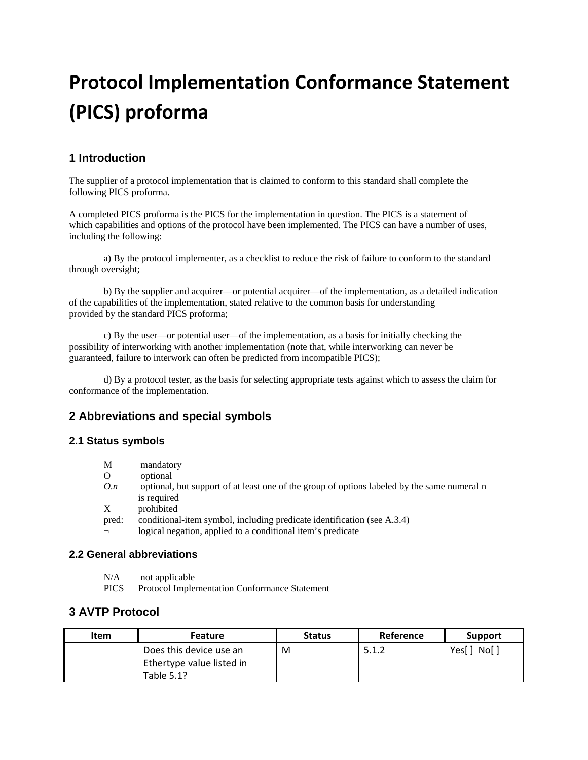# **Protocol Implementation Conformance Statement (PICS) proforma**

## **1 Introduction**

The supplier of a protocol implementation that is claimed to conform to this standard shall complete the following PICS proforma.

A completed PICS proforma is the PICS for the implementation in question. The PICS is a statement of which capabilities and options of the protocol have been implemented. The PICS can have a number of uses, including the following:

a) By the protocol implementer, as a checklist to reduce the risk of failure to conform to the standard through oversight;

b) By the supplier and acquirer—or potential acquirer—of the implementation, as a detailed indication of the capabilities of the implementation, stated relative to the common basis for understanding provided by the standard PICS proforma;

c) By the user—or potential user—of the implementation, as a basis for initially checking the possibility of interworking with another implementation (note that, while interworking can never be guaranteed, failure to interwork can often be predicted from incompatible PICS);

d) By a protocol tester, as the basis for selecting appropriate tests against which to assess the claim for conformance of the implementation.

## **2 Abbreviations and special symbols**

#### **2.1 Status symbols**

| M        | mandatory                                                                                                                                                                                                                                                                                                   |
|----------|-------------------------------------------------------------------------------------------------------------------------------------------------------------------------------------------------------------------------------------------------------------------------------------------------------------|
| $\Omega$ | optional                                                                                                                                                                                                                                                                                                    |
| O.n      | optional, but support of at least one of the group of options labeled by the same numeral n                                                                                                                                                                                                                 |
|          | is required                                                                                                                                                                                                                                                                                                 |
| X        | prohibited                                                                                                                                                                                                                                                                                                  |
|          | $\mathbf{1}$ , $\mathbf{1}$ , $\mathbf{1}$ , $\mathbf{1}$ , $\mathbf{1}$ , $\mathbf{1}$ , $\mathbf{1}$ , $\mathbf{1}$ , $\mathbf{1}$ , $\mathbf{1}$ , $\mathbf{1}$ , $\mathbf{1}$ , $\mathbf{1}$ , $\mathbf{1}$ , $\mathbf{1}$ , $\mathbf{1}$ , $\mathbf{1}$ , $\mathbf{1}$ , $\mathbf{1}$ , $\mathbf{1}$ , |

pred: conditional-item symbol, including predicate identification (see A.3.4)  $\overline{\phantom{a}}$  logical negation, applied to a conditional item's predicate

#### **2.2 General abbreviations**

N/A not applicable

PICS Protocol Implementation Conformance Statement

#### **3 AVTP Protocol**

| <b>Item</b> | <b>Feature</b>            | <b>Status</b> | Reference | Support      |
|-------------|---------------------------|---------------|-----------|--------------|
|             | Does this device use an   | M             | 5.1.2     | No[ ]<br>Yes |
|             | Ethertype value listed in |               |           |              |
|             | Table 5.1?                |               |           |              |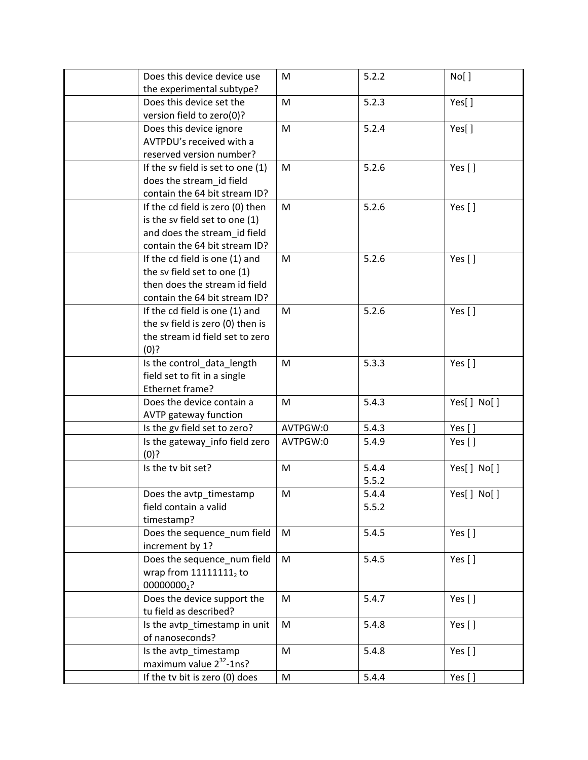| Does this device device use       | M        | 5.2.2 | No[ ]      |
|-----------------------------------|----------|-------|------------|
| the experimental subtype?         |          |       |            |
| Does this device set the          | M        | 5.2.3 | Yes[]      |
| version field to zero(0)?         |          |       |            |
| Does this device ignore           | M        | 5.2.4 | Yes[]      |
| AVTPDU's received with a          |          |       |            |
| reserved version number?          |          |       |            |
| If the sv field is set to one (1) | M        | 5.2.6 | Yes []     |
| does the stream_id field          |          |       |            |
| contain the 64 bit stream ID?     |          |       |            |
| If the cd field is zero (0) then  | M        | 5.2.6 | Yes []     |
| is the sv field set to one (1)    |          |       |            |
| and does the stream_id field      |          |       |            |
| contain the 64 bit stream ID?     |          |       |            |
| If the cd field is one (1) and    | M        | 5.2.6 | Yes []     |
| the sv field set to one (1)       |          |       |            |
| then does the stream id field     |          |       |            |
| contain the 64 bit stream ID?     |          |       |            |
| If the cd field is one (1) and    | M        | 5.2.6 | Yes []     |
| the sv field is zero (0) then is  |          |       |            |
| the stream id field set to zero   |          |       |            |
| (0)?                              |          |       |            |
| Is the control_data_length        | M        | 5.3.3 | Yes []     |
| field set to fit in a single      |          |       |            |
| Ethernet frame?                   |          |       |            |
| Does the device contain a         | M        | 5.4.3 | Yes[] No[] |
| AVTP gateway function             |          |       |            |
| Is the gv field set to zero?      | AVTPGW:0 | 5.4.3 | Yes []     |
| Is the gateway_info field zero    | AVTPGW:0 | 5.4.9 | Yes $[ ]$  |
| (0)?                              |          |       |            |
| Is the tv bit set?                | M        | 5.4.4 | Yes[] No[] |
|                                   |          | 5.5.2 |            |
| Does the avtp_timestamp           | M        | 5.4.4 | Yes[] No[] |
| field contain a valid             |          | 5.5.2 |            |
| timestamp?                        |          |       |            |
| Does the sequence_num field       | M        | 5.4.5 | Yes []     |
| increment by 1?                   |          |       |            |
| Does the sequence_num field       | M        | 5.4.5 | Yes []     |
| wrap from $11111111_2$ to         |          |       |            |
| 000000002?                        |          |       |            |
| Does the device support the       | M        | 5.4.7 | Yes []     |
| tu field as described?            |          |       |            |
| Is the avtp_timestamp in unit     | M        | 5.4.8 | Yes []     |
| of nanoseconds?                   |          |       |            |
| Is the avtp_timestamp             | M        | 5.4.8 | Yes []     |
| maximum value $2^{32}$ -1ns?      |          |       |            |
| If the tv bit is zero (0) does    | M        | 5.4.4 | Yes []     |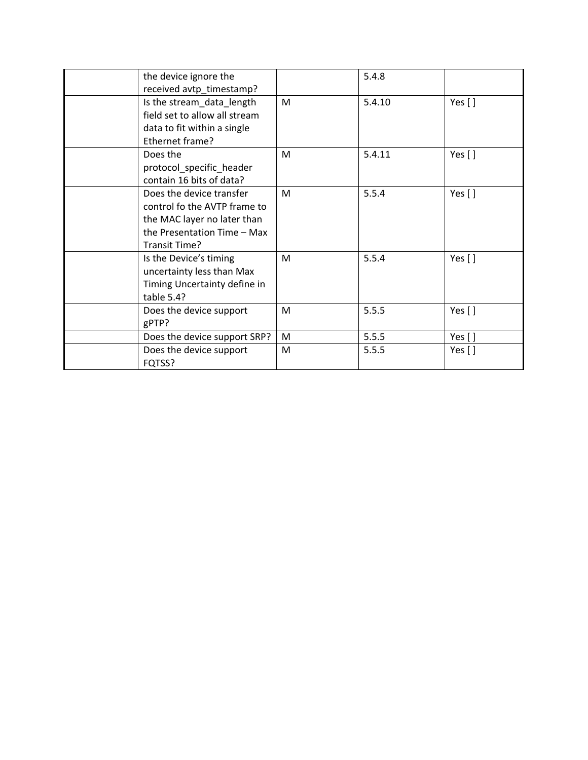| the device ignore the                                                                                                                    |   | 5.4.8  |           |
|------------------------------------------------------------------------------------------------------------------------------------------|---|--------|-----------|
| received avtp_timestamp?<br>Is the stream_data_length<br>field set to allow all stream<br>data to fit within a single<br>Ethernet frame? | M | 5.4.10 | Yes $[ ]$ |
| Does the<br>protocol_specific_header<br>contain 16 bits of data?                                                                         | M | 5.4.11 | Yes $[ ]$ |
| Does the device transfer<br>control fo the AVTP frame to<br>the MAC layer no later than<br>the Presentation Time - Max<br>Transit Time?  | M | 5.5.4  | Yes $[ ]$ |
| Is the Device's timing<br>uncertainty less than Max<br>Timing Uncertainty define in<br>table 5.4?                                        | M | 5.5.4  | Yes $[ ]$ |
| Does the device support<br>gPTP?                                                                                                         | M | 5.5.5  | Yes $[ ]$ |
| Does the device support SRP?                                                                                                             | М | 5.5.5  | Yes $[$ ] |
| Does the device support<br>FQTSS?                                                                                                        | м | 5.5.5  | Yes $[ ]$ |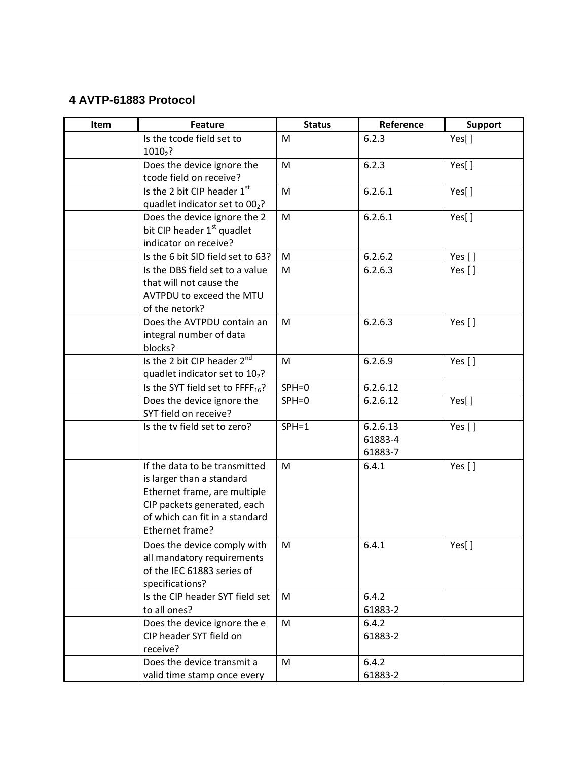## **4 AVTP-61883 Protocol**

| Item | <b>Feature</b>                               | <b>Status</b> | Reference | <b>Support</b> |
|------|----------------------------------------------|---------------|-----------|----------------|
|      | Is the tcode field set to                    | M             | 6.2.3     | Yes[]          |
|      | $1010_2$ ?                                   |               |           |                |
|      | Does the device ignore the                   | M             | 6.2.3     | Yes[]          |
|      | tcode field on receive?                      |               |           |                |
|      | Is the 2 bit CIP header 1st                  | M             | 6.2.6.1   | Yes[]          |
|      | quadlet indicator set to 002?                |               |           |                |
|      | Does the device ignore the 2                 | M             | 6.2.6.1   | Yes[]          |
|      | bit CIP header 1 <sup>st</sup> quadlet       |               |           |                |
|      | indicator on receive?                        |               |           |                |
|      | Is the 6 bit SID field set to 63?            | M             | 6.2.6.2   | Yes $[$ ]      |
|      | Is the DBS field set to a value              | M             | 6.2.6.3   | Yes $[ ]$      |
|      | that will not cause the                      |               |           |                |
|      | AVTPDU to exceed the MTU                     |               |           |                |
|      | of the netork?<br>Does the AVTPDU contain an |               | 6.2.6.3   |                |
|      |                                              | M             |           | Yes []         |
|      | integral number of data<br>blocks?           |               |           |                |
|      | Is the 2 bit CIP header 2nd                  | M             | 6.2.6.9   | Yes $[ ]$      |
|      | quadlet indicator set to 102?                |               |           |                |
|      | Is the SYT field set to FFFF <sub>16</sub> ? | $SPH=0$       | 6.2.6.12  |                |
|      | Does the device ignore the                   | $SPH = 0$     | 6.2.6.12  | Yes[]          |
|      | SYT field on receive?                        |               |           |                |
|      | Is the tv field set to zero?                 | $SPH = 1$     | 6.2.6.13  | Yes []         |
|      |                                              |               | 61883-4   |                |
|      |                                              |               | 61883-7   |                |
|      | If the data to be transmitted                | M             | 6.4.1     | Yes []         |
|      | is larger than a standard                    |               |           |                |
|      | Ethernet frame, are multiple                 |               |           |                |
|      | CIP packets generated, each                  |               |           |                |
|      | of which can fit in a standard               |               |           |                |
|      | Ethernet frame?                              |               |           |                |
|      | Does the device comply with                  | M             | 6.4.1     | Yes[]          |
|      | all mandatory requirements                   |               |           |                |
|      | of the IEC 61883 series of                   |               |           |                |
|      | specifications?                              |               |           |                |
|      | Is the CIP header SYT field set              | M             | 6.4.2     |                |
|      | to all ones?                                 |               | 61883-2   |                |
|      | Does the device ignore the e                 | M             | 6.4.2     |                |
|      | CIP header SYT field on                      |               | 61883-2   |                |
|      | receive?                                     |               |           |                |
|      | Does the device transmit a                   | M             | 6.4.2     |                |
|      | valid time stamp once every                  |               | 61883-2   |                |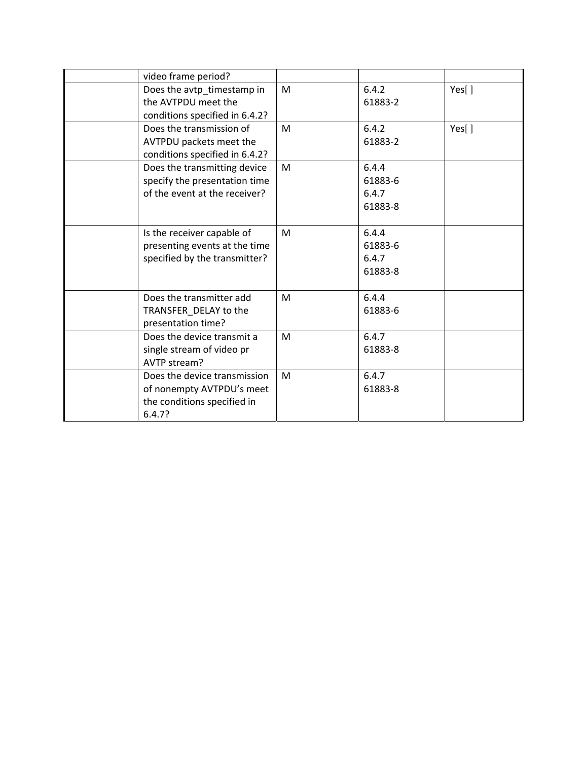| video frame period?                                                                                |   |                                      |       |
|----------------------------------------------------------------------------------------------------|---|--------------------------------------|-------|
| Does the avtp_timestamp in<br>the AVTPDU meet the<br>conditions specified in 6.4.2?                | M | 6.4.2<br>61883-2                     | Yes[] |
| Does the transmission of<br>AVTPDU packets meet the<br>conditions specified in 6.4.2?              | M | 6.4.2<br>61883-2                     | Yes[] |
| Does the transmitting device<br>specify the presentation time<br>of the event at the receiver?     | M | 6.4.4<br>61883-6<br>6.4.7<br>61883-8 |       |
| Is the receiver capable of<br>presenting events at the time<br>specified by the transmitter?       | M | 6.4.4<br>61883-6<br>6.4.7<br>61883-8 |       |
| Does the transmitter add<br>TRANSFER_DELAY to the<br>presentation time?                            | M | 6.4.4<br>61883-6                     |       |
| Does the device transmit a<br>single stream of video pr<br>AVTP stream?                            | M | 6.4.7<br>61883-8                     |       |
| Does the device transmission<br>of nonempty AVTPDU's meet<br>the conditions specified in<br>6.4.7? | M | 6.4.7<br>61883-8                     |       |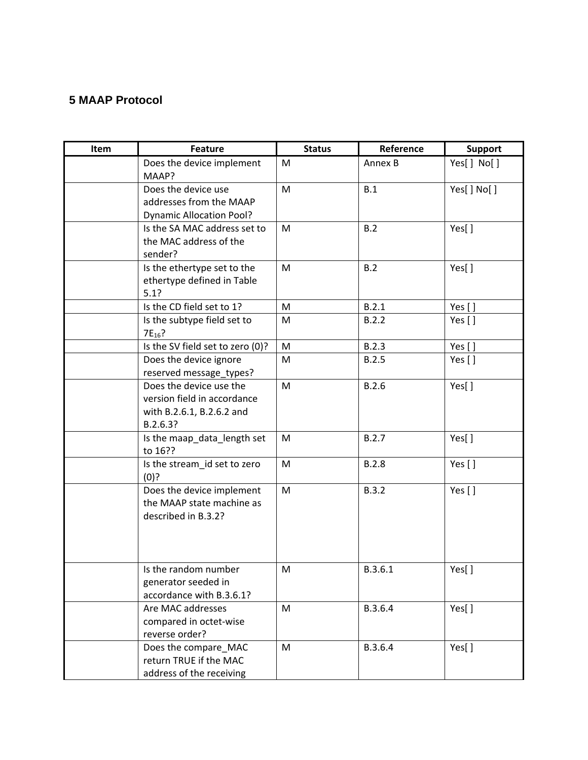## **5 MAAP Protocol**

| Item | <b>Feature</b>                                                                                  | <b>Status</b> | Reference | <b>Support</b> |
|------|-------------------------------------------------------------------------------------------------|---------------|-----------|----------------|
|      | Does the device implement<br>MAAP?                                                              | M             | Annex B   | Yes[] No[]     |
|      | Does the device use<br>addresses from the MAAP<br><b>Dynamic Allocation Pool?</b>               | M             | B.1       | Yes[] No[]     |
|      | Is the SA MAC address set to<br>the MAC address of the<br>sender?                               | M             | B.2       | Yes[]          |
|      | Is the ethertype set to the<br>ethertype defined in Table<br>5.1?                               | M             | B.2       | Yes[]          |
|      | Is the CD field set to 1?                                                                       | M             | B.2.1     | Yes []         |
|      | Is the subtype field set to<br>$7E_{16}$ ?                                                      | M             | B.2.2     | Yes []         |
|      | Is the SV field set to zero (0)?                                                                | M             | B.2.3     | Yes []         |
|      | Does the device ignore<br>reserved message_types?                                               | M             | B.2.5     | Yes $[ ]$      |
|      | Does the device use the<br>version field in accordance<br>with B.2.6.1, B.2.6.2 and<br>B.2.6.3? | M             | B.2.6     | Yes[]          |
|      | Is the maap_data_length set<br>to 16??                                                          | M             | B.2.7     | Yes[]          |
|      | Is the stream_id set to zero<br>(0)?                                                            | M             | B.2.8     | Yes $[ ]$      |
|      | Does the device implement<br>the MAAP state machine as<br>described in B.3.2?                   | M             | B.3.2     | Yes $[ ]$      |
|      | Is the random number<br>generator seeded in<br>accordance with B.3.6.1?                         | M             | B.3.6.1   | Yes[]          |
|      | Are MAC addresses<br>compared in octet-wise<br>reverse order?                                   | M             | B.3.6.4   | Yes[]          |
|      | Does the compare_MAC<br>return TRUE if the MAC<br>address of the receiving                      | M             | B.3.6.4   | Yes[]          |